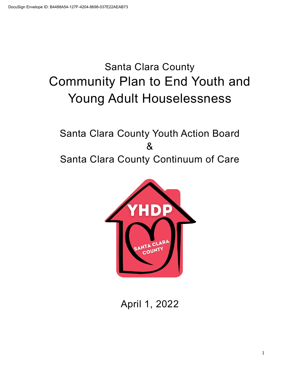# Santa Clara County Community Plan to End Youth and Young Adult Houselessness

## Santa Clara County Youth Action Board & Santa Clara County Continuum of Care



April 1, 2022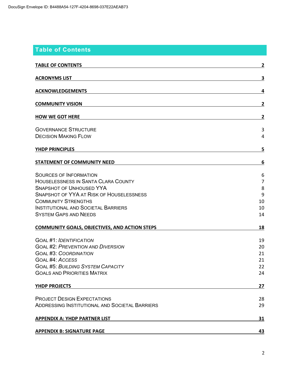## **Table of Contents**

| <b>TABLE OF CONTENTS</b>                                                                                                                                                                                                                                                                                                                                                                                            | $\overline{2}$                                                    |
|---------------------------------------------------------------------------------------------------------------------------------------------------------------------------------------------------------------------------------------------------------------------------------------------------------------------------------------------------------------------------------------------------------------------|-------------------------------------------------------------------|
| <b>ACRONYMS LIST</b>                                                                                                                                                                                                                                                                                                                                                                                                | 3                                                                 |
| <b>ACKNOWLEDGEMENTS</b>                                                                                                                                                                                                                                                                                                                                                                                             | 4                                                                 |
| <b>COMMUNITY VISION</b>                                                                                                                                                                                                                                                                                                                                                                                             | 2                                                                 |
| <b>HOW WE GOT HERE</b>                                                                                                                                                                                                                                                                                                                                                                                              | $\mathbf{2}$                                                      |
| <b>GOVERNANCE STRUCTURE</b><br><b>DECISION MAKING FLOW</b>                                                                                                                                                                                                                                                                                                                                                          | 3<br>4                                                            |
| <b>YHDP PRINCIPLES</b>                                                                                                                                                                                                                                                                                                                                                                                              | 5                                                                 |
| <b>STATEMENT OF COMMUNITY NEED</b>                                                                                                                                                                                                                                                                                                                                                                                  | 6                                                                 |
| <b>SOURCES OF INFORMATION</b><br><b>HOUSELESSNESS IN SANTA CLARA COUNTY</b><br><b>SNAPSHOT OF UNHOUSED YYA</b><br><b>SNAPSHOT OF YYA AT RISK OF HOUSELESSNESS</b><br><b>COMMUNITY STRENGTHS</b><br><b>INSTITUTIONAL AND SOCIETAL BARRIERS</b><br><b>SYSTEM GAPS AND NEEDS</b><br><b>COMMUNITY GOALS, OBJECTIVES, AND ACTION STEPS</b><br><b>GOAL #1: IDENTIFICATION</b><br><b>GOAL #2: PREVENTION AND DIVERSION</b> | 6<br>$\overline{7}$<br>8<br>9<br>10<br>10<br>14<br>18<br>19<br>20 |
| <b>GOAL #3: COORDINATION</b>                                                                                                                                                                                                                                                                                                                                                                                        | 21                                                                |
| <b>GOAL #4: ACCESS</b><br><b>GOAL #5: BUILDING SYSTEM CAPACITY</b><br><b>GOALS AND PRIORITIES MATRIX</b>                                                                                                                                                                                                                                                                                                            | 21<br>22<br>24                                                    |
| YHDP PROJECTS                                                                                                                                                                                                                                                                                                                                                                                                       | 27                                                                |
| <b>PROJECT DESIGN EXPECTATIONS</b><br><b>ADDRESSING INSTITUTIONAL AND SOCIETAL BARRIERS</b>                                                                                                                                                                                                                                                                                                                         | 28<br>29                                                          |
| <b>APPENDIX A: YHDP PARTNER LIST</b>                                                                                                                                                                                                                                                                                                                                                                                | 31                                                                |
| <b>APPENDIX B: SIGNATURE PAGE</b>                                                                                                                                                                                                                                                                                                                                                                                   | 43                                                                |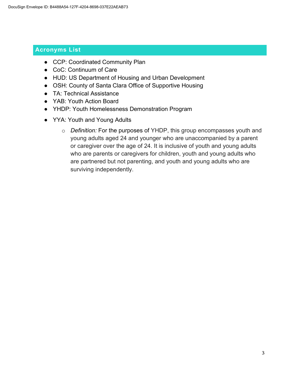## **Acronyms List**

- CCP: Coordinated Community Plan
- CoC: Continuum of Care
- HUD: US Department of Housing and Urban Development
- OSH: County of Santa Clara Office of Supportive Housing
- TA: Technical Assistance
- YAB: Youth Action Board
- YHDP: Youth Homelessness Demonstration Program
- YYA: Youth and Young Adults
	- o *Definition:* For the purposes of YHDP, this group encompasses youth and young adults aged 24 and younger who are unaccompanied by a parent or caregiver over the age of 24. It is inclusive of youth and young adults who are parents or caregivers for children, youth and young adults who are partnered but not parenting, and youth and young adults who are surviving independently.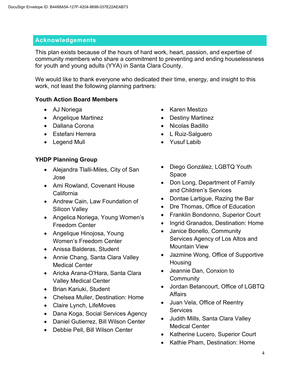#### **Acknowledgements**

This plan exists because of the hours of hard work, heart, passion, and expertise of community members who share a commitment to preventing and ending houselessness for youth and young adults (YYA) in Santa Clara County.

We would like to thank everyone who dedicated their time, energy, and insight to this work, not least the following planning partners:

#### **Youth Action Board Members**

- AJ Noriega
- Angelique Martinez
- Dallana Corona
- Estefani Herrera
- Legend Mull

## **YHDP Planning Group**

- Alejandra Tlalli-Miles, City of San Jose
- Ami Rowland, Covenant House California
- Andrew Cain, Law Foundation of Silicon Valley
- Angelica Noriega, Young Women's Freedom Center
- Angelique Hinojosa, Young Women's Freedom Center
- Anissa Balderas, Student
- Annie Chang, Santa Clara Valley Medical Center
- Aricka Arana-O'Hara, Santa Clara Valley Medical Center
- Brian Kariuki, Student
- Chelsea Muller, Destination: Home
- Claire Lynch, LifeMoves
- Dana Koga, Social Services Agency
- Daniel Gutierrez, Bill Wilson Center
- Debbie Pell, Bill Wilson Center
- Karen Mestizo
- Destiny Martinez
- Nicolas Badillo
- L Ruiz-Salguero
- Yusuf Labib
- Diego González, LGBTQ Youth Space
- Don Long, Department of Family and Children's Services
- Dontae Lartigue, Razing the Bar
- Dre Thomas, Office of Education
- Franklin Bondonno, Superior Court
- Ingrid Granados, Destination: Home
- Janice Bonello, Community Services Agency of Los Altos and Mountain View
- Jazmine Wong, Office of Supportive Housing
- Jeannie Dan, Conxion to **Community**
- Jordan Betancourt, Office of LGBTQ Affairs
- Juan Vela, Office of Reentry **Services**
- Judith Mills, Santa Clara Valley Medical Center
- Katherine Lucero, Superior Court
- Kathie Pham, Destination: Home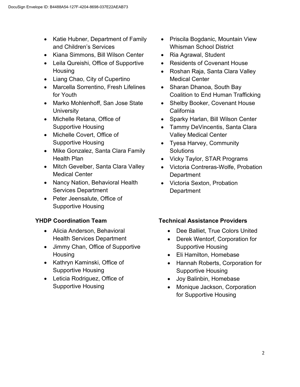- Katie Hubner, Department of Family and Children's Services
- Kiana Simmons, Bill Wilson Center
- Leila Qureishi, Office of Supportive **Housing**
- Liang Chao, City of Cupertino
- Marcella Sorrentino, Fresh Lifelines for Youth
- Marko Mohlenhoff, San Jose State **University**
- Michelle Retana, Office of Supportive Housing
- Michelle Covert, Office of Supportive Housing
- Mike Gonzalez, Santa Clara Family Health Plan
- Mitch Gevelber, Santa Clara Valley Medical Center
- Nancy Nation, Behavioral Health Services Department
- Peter Jeensalute, Office of Supportive Housing

## **YHDP Coordination Team**

- Alicia Anderson, Behavioral Health Services Department
- Jimmy Chan, Office of Supportive **Housing**
- Kathryn Kaminski, Office of Supportive Housing
- Leticia Rodriguez, Office of Supportive Housing
- Priscila Bogdanic, Mountain View Whisman School District
- Ria Agrawal, Student
- Residents of Covenant House
- Roshan Raja, Santa Clara Valley Medical Center
- Sharan Dhanoa, South Bay Coalition to End Human Trafficking
- Shelby Booker, Covenant House California
- Sparky Harlan, Bill Wilson Center
- Tammy DeVincentis, Santa Clara Valley Medical Center
- Tyesa Harvey, Community **Solutions**
- Vicky Taylor, STAR Programs
- Victoria Contreras-Wolfe, Probation **Department**
- Victoria Sexton, Probation **Department**

## **Technical Assistance Providers**

- Dee Balliet, True Colors United
- Derek Wentorf, Corporation for Supportive Housing
- Eli Hamilton, Homebase
- Hannah Roberts, Corporation for Supportive Housing
- Joy Balinbin, Homebase
- Monique Jackson, Corporation for Supportive Housing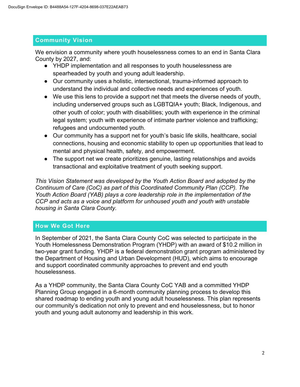## **Community Vision**

We envision a community where youth houselessness comes to an end in Santa Clara County by 2027, and:

- YHDP implementation and all responses to youth houselessness are spearheaded by youth and young adult leadership.
- Our community uses a holistic, intersectional, trauma-informed approach to understand the individual and collective needs and experiences of youth.
- We use this lens to provide a support net that meets the diverse needs of youth, including underserved groups such as LGBTQIA+ youth; Black, Indigenous, and other youth of color; youth with disabilities; youth with experience in the criminal legal system; youth with experience of intimate partner violence and trafficking; refugees and undocumented youth.
- Our community has a support net for youth's basic life skills, healthcare, social connections, housing and economic stability to open up opportunities that lead to mental and physical health, safety, and empowerment.
- The support net we create prioritizes genuine, lasting relationships and avoids transactional and exploitative treatment of youth seeking support.

*This Vision Statement was developed by the Youth Action Board and adopted by the Continuum of Care (CoC) as part of this Coordinated Community Plan (CCP). The Youth Action Board (YAB) plays a core leadership role in the implementation of the CCP and acts as a voice and platform for unhoused youth and youth with unstable housing in Santa Clara County.* 

## **How We Got Here**

In September of 2021, the Santa Clara County CoC was selected to participate in the Youth Homelessness Demonstration Program (YHDP) with an award of \$10.2 million in two-year grant funding. YHDP is a federal demonstration grant program administered by the Department of Housing and Urban Development (HUD), which aims to encourage and support coordinated community approaches to prevent and end youth houselessness.

As a YHDP community, the Santa Clara County CoC YAB and a committed YHDP Planning Group engaged in a 6-month community planning process to develop this shared roadmap to ending youth and young adult houselessness. This plan represents our community's dedication not only to prevent and end houselessness, but to honor youth and young adult autonomy and leadership in this work.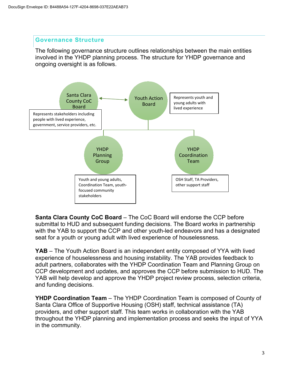#### **Governance Structure**

The following governance structure outlines relationships between the main entities involved in the YHDP planning process. The structure for YHDP governance and ongoing oversight is as follows.



**Santa Clara County CoC Board** – The CoC Board will endorse the CCP before submittal to HUD and subsequent funding decisions. The Board works in partnership with the YAB to support the CCP and other youth-led endeavors and has a designated seat for a youth or young adult with lived experience of houselessness.

**YAB** – The Youth Action Board is an independent entity composed of YYA with lived experience of houselessness and housing instability. The YAB provides feedback to adult partners, collaborates with the YHDP Coordination Team and Planning Group on CCP development and updates, and approves the CCP before submission to HUD. The YAB will help develop and approve the YHDP project review process, selection criteria, and funding decisions.

**YHDP Coordination Team** – The YHDP Coordination Team is composed of County of Santa Clara Office of Supportive Housing (OSH) staff, technical assistance (TA) providers, and other support staff. This team works in collaboration with the YAB throughout the YHDP planning and implementation process and seeks the input of YYA in the community.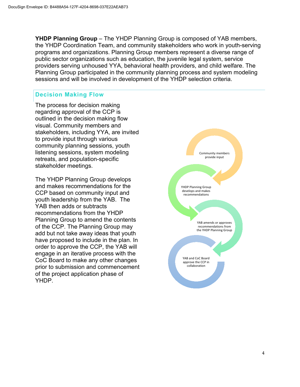**YHDP Planning Group** – The YHDP Planning Group is composed of YAB members, the YHDP Coordination Team, and community stakeholders who work in youth-serving programs and organizations. Planning Group members represent a diverse range of public sector organizations such as education, the juvenile legal system, service providers serving unhoused YYA, behavioral health providers, and child welfare. The Planning Group participated in the community planning process and system modeling sessions and will be involved in development of the YHDP selection criteria.

## **Decision Making Flow**

The process for decision making regarding approval of the CCP is outlined in the decision making flow visual. Community members and stakeholders, including YYA, are invited to provide input through various community planning sessions, youth listening sessions, system modeling retreats, and population-specific stakeholder meetings.

The YHDP Planning Group develops and makes recommendations for the CCP based on community input and youth leadership from the YAB. The YAB then adds or subtracts recommendations from the YHDP Planning Group to amend the contents of the CCP. The Planning Group may add but not take away ideas that youth have proposed to include in the plan. In order to approve the CCP, the YAB will engage in an iterative process with the CoC Board to make any other changes prior to submission and commencement of the project application phase of YHDP.

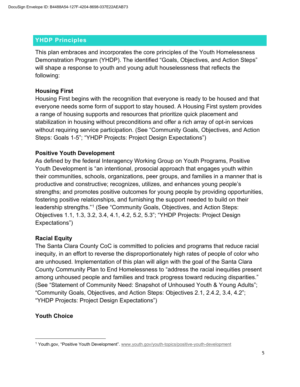## **YHDP Principles**

This plan embraces and incorporates the core principles of the Youth Homelessness Demonstration Program (YHDP). The identified "Goals, Objectives, and Action Steps" will shape a response to youth and young adult houselessness that reflects the following:

## **Housing First**

Housing First begins with the recognition that everyone is ready to be housed and that everyone needs some form of support to stay housed. A Housing First system provides a range of housing supports and resources that prioritize quick placement and stabilization in housing without preconditions and offer a rich array of opt-in services without requiring service participation. (See "Community Goals, Objectives, and Action Steps: Goals 1-5"; "YHDP Projects: Project Design Expectations")

## **Positive Youth Development**

As defined by the federal Interagency Working Group on Youth Programs, Positive Youth Development is "an intentional, prosocial approach that engages youth within their communities, schools, organizations, peer groups, and families in a manner that is productive and constructive; recognizes, utilizes, and enhances young people's strengths; and promotes positive outcomes for young people by providing opportunities, fostering positive relationships, and furnishing the support needed to build on their leadership strengths."[1](#page--1-15) (See "Community Goals, Objectives, and Action Steps: Objectives 1.1, 1.3, 3.2, 3.4, 4.1, 4.2, 5.2, 5.3"; "YHDP Projects: Project Design Expectations")

## **Racial Equity**

The Santa Clara County CoC is committed to policies and programs that reduce racial inequity, in an effort to reverse the disproportionately high rates of people of color who are unhoused. Implementation of this plan will align with the goal of the Santa Clara County Community Plan to End Homelessness to "address the racial inequities present among unhoused people and families and track progress toward reducing disparities." (See "Statement of Community Need: Snapshot of Unhoused Youth & Young Adults"; "Community Goals, Objectives, and Action Steps: Objectives 2.1, 2.4.2, 3.4, 4.2"; "YHDP Projects: Project Design Expectations")

## **Youth Choice**

<sup>1</sup> Youth.gov, "Positive Youth Development"[. www.youth.gov/youth-topics/positive-youth-development](http://www.youth.gov/youth-topics/positive-youth-development)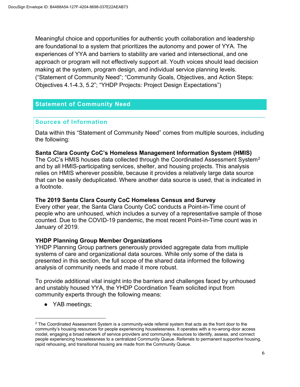Meaningful choice and opportunities for authentic youth collaboration and leadership are foundational to a system that prioritizes the autonomy and power of YYA. The experiences of YYA and barriers to stability are varied and intersectional, and one approach or program will not effectively support all. Youth voices should lead decision making at the system, program design, and individual service planning levels. ("Statement of Community Need"; "Community Goals, Objectives, and Action Steps: Objectives 4.1-4.3, 5.2"; "YHDP Projects: Project Design Expectations")

## **Statement of Community Need**

#### **Sources of Information**

Data within this "Statement of Community Need" comes from multiple sources, including the following:

#### **Santa Clara County CoC's Homeless Management Information System (HMIS)**

The CoC's HMIS houses data collected through the Coordinated Assessment System<sup>[2](#page--1-16)</sup> and by all HMIS-participating services, shelter, and housing projects. This analysis relies on HMIS wherever possible, because it provides a relatively large data source that can be easily deduplicated. Where another data source is used, that is indicated in a footnote.

#### **The 2019 Santa Clara County CoC Homeless Census and Survey**

Every other year, the Santa Clara County CoC conducts a Point-in-Time count of people who are unhoused, which includes a survey of a representative sample of those counted. Due to the COVID-19 pandemic, the most recent Point-in-Time count was in January of 2019.

#### **YHDP Planning Group Member Organizations**

YHDP Planning Group partners generously provided aggregate data from multiple systems of care and organizational data sources. While only some of the data is presented in this section, the full scope of the shared data informed the following analysis of community needs and made it more robust.

To provide additional vital insight into the barriers and challenges faced by unhoused and unstably housed YYA, the YHDP Coordination Team solicited input from community experts through the following means:

• YAB meetings;

 $2$  The Coordinated Assessment System is a community-wide referral system that acts as the front door to the community's housing resources for people experiencing houselessness. It operates with a no-wrong-door access model, engaging a broad network of service providers and community resources to identify, assess, and connect people experiencing houselessness to a centralized Community Queue. Referrals to permanent supportive housing, rapid rehousing, and transitional housing are made from the Community Queue.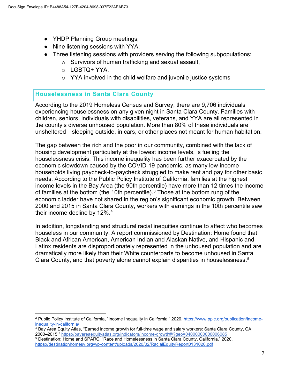- YHDP Planning Group meetings;
- Nine listening sessions with YYA;
- Three listening sessions with providers serving the following subpopulations:
	- o Survivors of human trafficking and sexual assault,
	- o LGBTQ+ YYA,
	- $\circ$  YYA involved in the child welfare and juvenile justice systems

## **Houselessness in Santa Clara County**

According to the 2019 Homeless Census and Survey, there are 9,706 individuals experiencing houselessness on any given night in Santa Clara County. Families with children, seniors, individuals with disabilities, veterans, and YYA are all represented in the county's diverse unhoused population. More than 80% of these individuals are unsheltered—sleeping outside, in cars, or other places not meant for human habitation.

The gap between the rich and the poor in our community, combined with the lack of housing development particularly at the lowest income levels, is fueling the houselessness crisis. This income inequality has been further exacerbated by the economic slowdown caused by the COVID-19 pandemic, as many low-income households living paycheck-to-paycheck struggled to make rent and pay for other basic needs. According to the Public Policy Institute of California, families at the highest income levels in the Bay Area (the 90th percentile) have more than 12 times the income of families at the bottom (the 10th percentile).<sup>[3](#page--1-17)</sup> Those at the bottom rung of the economic ladder have not shared in the region's significant economic growth. Between 2000 and 2015 in Santa Clara County, workers with earnings in the 10th percentile saw their income decline by 12%.<sup>[4](#page--1-18)</sup>

In addition, longstanding and structural racial inequities continue to affect who becomes houseless in our community. A report commissioned by Destination: Home found that Black and African American, American Indian and Alaskan Native, and Hispanic and Latinx residents are disproportionately represented in the unhoused population and are dramatically more likely than their White counterparts to become unhoused in Santa Clara County, and that poverty alone cannot explain disparities in houselessness.[5](#page--1-19)

- <sup>4</sup> Bay Area Equity Atlas, "Earned income growth for full-time wage and salary workers: Santa Clara County, CA, 2000–2015." <https://bayareaequityatlas.org/indicators/income-growth#/?geo=04000000000006085>
- <sup>5</sup> Destination: Home and SPARC, "Race and Homelessness in Santa Clara County, California." 2020. <https://destinationhomesv.org/wp-content/uploads/2020/02/RacialEquityReport0131020.pdf>

<sup>3</sup> Public Policy Institute of California, "Income Inequality in California." 2020. [https://www.ppic.org/publication/income](https://www.ppic.org/publication/income-inequality-in-california/)[inequality-in-california/](https://www.ppic.org/publication/income-inequality-in-california/)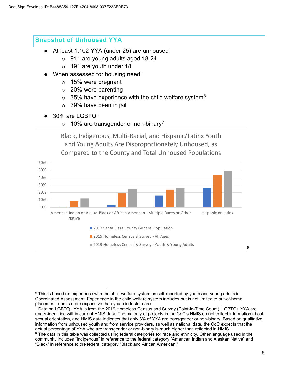#### **Snapshot of Unhoused YYA**

- At least 1,102 YYA (under 25) are unhoused
	- o 911 are young adults aged 18-24
	- o 191 are youth under 18
- When assessed for housing need:
	- o 15% were pregnant
	- $\circ$  20% were parenting
	- $\circ$  35% have experience with the child welfare system<sup>[6](#page--1-20)</sup>
	- $\circ$  39% have been in jail
- 30% are LGBTQ+
	- $\circ$  10% are transgender or non-binary<sup>[7](#page--1-21)</sup>



 $6$  This is based on experience with the child welfare system as self-reported by youth and young adults in Coordinated Assessment. Experience in the child welfare system includes but is not limited to out-of-home placement, and is more expansive than youth in foster care.

<sup>7</sup> Data on LGBTQ+ YYA is from the 2019 Homeless Census and Survey (Point-in-Time Count). LGBTQ+ YYA are under-identified within current HMIS data. The majority of projects in the CoC's HMIS do not collect information about sexual orientation, and HMIS data indicates that only 3% of YYA are transgender or non-binary. Based on qualitative information from unhoused youth and from service providers, as well as national data, the CoC expects that the actual percentage of YYA who are transgender or non-binary is much higher than reflected in HMIS.

<sup>&</sup>lt;sup>8</sup> The data in this table was collected using federal categories for race and ethnicity. Other language used in the community includes "Indigenous" in reference to the federal category "American Indian and Alaskan Native" and "Black" in reference to the federal category "Black and African American."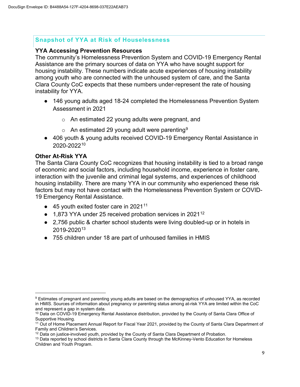#### **Snapshot of YYA at Risk of Houselessness**

#### **YYA Accessing Prevention Resources**

The community's Homelessness Prevention System and COVID-19 Emergency Rental Assistance are the primary sources of data on YYA who have sought support for housing instability. These numbers indicate acute experiences of housing instability among youth who are connected with the unhoused system of care, and the Santa Clara County CoC expects that these numbers under-represent the rate of housing instability for YYA.

- 146 young adults aged 18-24 completed the Homelessness Prevention System Assessment in 2021
	- o An estimated 22 young adults were pregnant, and
	- $\circ$  An estimated 2[9](#page--1-23) young adult were parenting<sup>9</sup>
- 406 youth & young adults received COVID-19 Emergency Rental Assistance in 2020-2022[10](#page--1-24)

#### **Other At-Risk YYA**

The Santa Clara County CoC recognizes that housing instability is tied to a broad range of economic and social factors, including household income, experience in foster care, interaction with the juvenile and criminal legal systems, and experiences of childhood housing instability. There are many YYA in our community who experienced these risk factors but may not have contact with the Homelessness Prevention System or COVID-19 Emergency Rental Assistance.

- $\bullet$  45 youth exited foster care in 2021<sup>[11](#page--1-16)</sup>
- 1,873 YYA under 25 received probation services in 2021<sup>[12](#page--1-22)</sup>
- 2,756 public & charter school students were living doubled-up or in hotels in 2019-2020[13](#page--1-19)
- 755 children under 18 are part of unhoused families in HMIS

<sup>9</sup> Estimates of pregnant and parenting young adults are based on the demographics of unhoused YYA, as recorded in HMIS. Sources of information about pregnancy or parenting status among at-risk YYA are limited within the CoC and represent a gap in system data.

<sup>&</sup>lt;sup>10</sup> Data on COVID-19 Emergency Rental Assistance distribution, provided by the County of Santa Clara Office of Supportive Housing.

<sup>&</sup>lt;sup>11</sup> Out of Home Placement Annual Report for Fiscal Year 2021, provided by the County of Santa Clara Department of Family and Children's Services.

<sup>&</sup>lt;sup>12</sup> Data on justice-involved youth, provided by the County of Santa Clara Department of Probation.

<sup>&</sup>lt;sup>13</sup> Data reported by school districts in Santa Clara County through the McKinney-Vento Education for Homeless Children and Youth Program.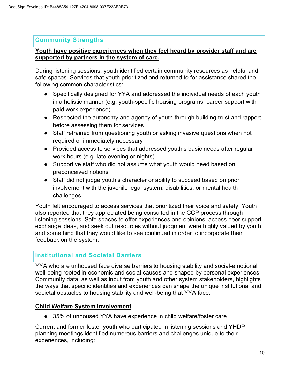## **Community Strengths**

#### **Youth have positive experiences when they feel heard by provider staff and are supported by partners in the system of care.**

During listening sessions, youth identified certain community resources as helpful and safe spaces. Services that youth prioritized and returned to for assistance shared the following common characteristics:

- Specifically designed for YYA and addressed the individual needs of each youth in a holistic manner (e.g. youth-specific housing programs, career support with paid work experience)
- Respected the autonomy and agency of youth through building trust and rapport before assessing them for services
- Staff refrained from questioning youth or asking invasive questions when not required or immediately necessary
- Provided access to services that addressed youth's basic needs after regular work hours (e.g. late evening or nights)
- Supportive staff who did not assume what youth would need based on preconceived notions
- Staff did not judge youth's character or ability to succeed based on prior involvement with the juvenile legal system, disabilities, or mental health challenges

Youth felt encouraged to access services that prioritized their voice and safety. Youth also reported that they appreciated being consulted in the CCP process through listening sessions. Safe spaces to offer experiences and opinions, access peer support, exchange ideas, and seek out resources without judgment were highly valued by youth and something that they would like to see continued in order to incorporate their feedback on the system.

## **Institutional and Societal Barriers**

YYA who are unhoused face diverse barriers to housing stability and social-emotional well-being rooted in economic and social causes and shaped by personal experiences. Community data, as well as input from youth and other system stakeholders, highlights the ways that specific identities and experiences can shape the unique institutional and societal obstacles to housing stability and well-being that YYA face.

## **Child Welfare System Involvement**

● 35% of unhoused YYA have experience in child welfare/foster care

Current and former foster youth who participated in listening sessions and YHDP planning meetings identified numerous barriers and challenges unique to their experiences, including: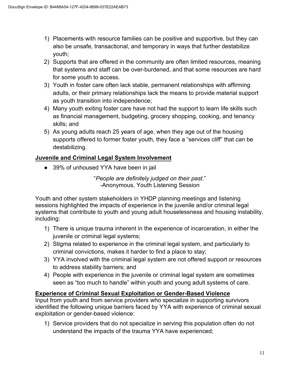- 1) Placements with resource families can be positive and supportive, but they can also be unsafe, transactional, and temporary in ways that further destabilize youth;
- 2) Supports that are offered in the community are often limited resources, meaning that systems and staff can be over-burdened, and that some resources are hard for some youth to access.
- 3) Youth in foster care often lack stable, permanent relationships with affirming adults, or their primary relationships lack the means to provide material support as youth transition into independence;
- 4) Many youth exiting foster care have not had the support to learn life skills such as financial management, budgeting, grocery shopping, cooking, and tenancy skills; and
- 5) As young adults reach 25 years of age, when they age out of the housing supports offered to former foster youth, they face a "services cliff" that can be destabilizing.

## **Juvenile and Criminal Legal System Involvement**

● 39% of unhoused YYA have been in jail

"*People are definitely judged on their past.*" -Anonymous, Youth Listening Session

Youth and other system stakeholders in YHDP planning meetings and listening sessions highlighted the impacts of experience in the juvenile and/or criminal legal systems that contribute to youth and young adult houselessness and housing instability, including:

- 1) There is unique trauma inherent in the experience of incarceration, in either the juvenile or criminal legal systems;
- 2) Stigma related to experience in the criminal legal system, and particularly to criminal convictions, makes it harder to find a place to stay;
- 3) YYA involved with the criminal legal system are not offered support or resources to address stability barriers; and
- 4) People with experience in the juvenile or criminal legal system are sometimes seen as "too much to handle" within youth and young adult systems of care.

#### **Experience of Criminal Sexual Exploitation or Gender-Based Violence**

Input from youth and from service providers who specialize in supporting survivors identified the following unique barriers faced by YYA with experience of criminal sexual exploitation or gender-based violence:

1) Service providers that do not specialize in serving this population often do not understand the impacts of the trauma YYA have experienced;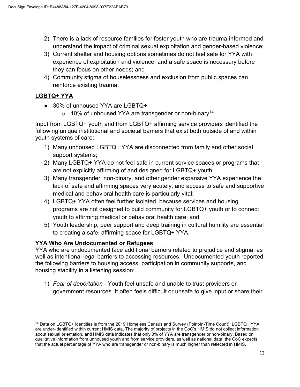- 2) There is a lack of resource families for foster youth who are trauma-informed and understand the impact of criminal sexual exploitation and gender-based violence;
- 3) Current shelter and housing options sometimes do not feel safe for YYA with experience of exploitation and violence, and a safe space is necessary before they can focus on other needs; and
- 4) Community stigma of houselessness and exclusion from public spaces can reinforce existing trauma.

## **LGBTQ+ YYA**

- 30% of unhoused YYA are LGBTQ+
	- $\circ$  10% of unhoused YYA are transgender or non-binary<sup>[14](#page--1-16)</sup>

Input from LGBTQ+ youth and from LGBTQ+ affirming service providers identified the following unique institutional and societal barriers that exist both outside of and within youth systems of care:

- 1) Many unhoused LGBTQ+ YYA are disconnected from family and other social support systems;
- 2) Many LGBTQ+ YYA do not feel safe in current service spaces or programs that are not explicitly affirming of and designed for LGBTQ+ youth;
- 3) Many transgender, non-binary, and other gender expansive YYA experience the lack of safe and affirming spaces very acutely, and access to safe and supportive medical and behavioral health care is particularly vital;
- 4) LGBTQ+ YYA often feel further isolated, because services and housing programs are not designed to build community for LGBTQ+ youth or to connect youth to affirming medical or behavioral health care; and
- 5) Youth leadership, peer support and deep training in cultural humility are essential to creating a safe, affirming space for LGBTQ+ YYA.

## **YYA Who Are Undocumented or Refugees**

YYA who are undocumented face additional barriers related to prejudice and stigma, as well as intentional legal barriers to accessing resources. Undocumented youth reported the following barriers to housing access, participation in community supports, and housing stability in a listening session:

1) *Fear of deportation* - Youth feel unsafe and unable to trust providers or government resources. It often feels difficult or unsafe to give input or share their

<sup>&</sup>lt;sup>14</sup> Data on LGBTQ+ identities is from the 2019 Homeless Census and Survey (Point-in-Time Count). LGBTQ+ YYA are under-identified within current HMIS data. The majority of projects in the CoC's HMIS do not collect information about sexual orientation, and HMIS data indicates that only 3% of YYA are transgender or non-binary. Based on qualitative information from unhoused youth and from service providers, as well as national data, the CoC expects that the actual percentage of YYA who are transgender or non-binary is much higher than reflected in HMIS.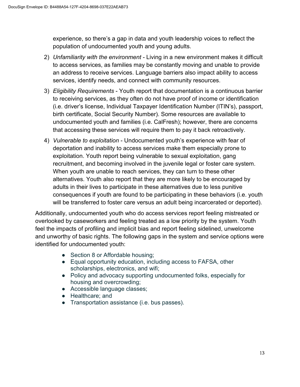experience, so there's a gap in data and youth leadership voices to reflect the population of undocumented youth and young adults.

- 2) *Unfamiliarity with the environment*  Living in a new environment makes it difficult to access services, as families may be constantly moving and unable to provide an address to receive services. Language barriers also impact ability to access services, identify needs, and connect with community resources.
- 3) *Eligibility Requirements* Youth report that documentation is a continuous barrier to receiving services, as they often do not have proof of income or identification (i.e. driver's license, Individual Taxpayer Identification Number (ITIN's), passport, birth certificate, Social Security Number). Some resources are available to undocumented youth and families (i.e. CalFresh); however, there are concerns that accessing these services will require them to pay it back retroactively.
- 4) *Vulnerable to exploitation* Undocumented youth's experience with fear of deportation and inability to access services make them especially prone to exploitation. Youth report being vulnerable to sexual exploitation, gang recruitment, and becoming involved in the juvenile legal or foster care system. When youth are unable to reach services, they can turn to these other alternatives. Youth also report that they are more likely to be encouraged by adults in their lives to participate in these alternatives due to less punitive consequences if youth are found to be participating in these behaviors (i.e. youth will be transferred to foster care versus an adult being incarcerated or deported).

Additionally, undocumented youth who do access services report feeling mistreated or overlooked by caseworkers and feeling treated as a low priority by the system. Youth feel the impacts of profiling and implicit bias and report feeling sidelined, unwelcome and unworthy of basic rights. The following gaps in the system and service options were identified for undocumented youth:

- Section 8 or Affordable housing;
- Equal opportunity education, including access to FAFSA, other scholarships, electronics, and wifi;
- Policy and advocacy supporting undocumented folks, especially for housing and overcrowding;
- Accessible language classes;
- Healthcare; and
- Transportation assistance (i.e. bus passes).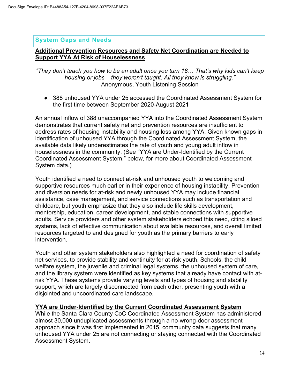#### **System Gaps and Needs**

#### **Additional Prevention Resources and Safety Net Coordination are Needed to Support YYA At Risk of Houselessness**

*"They don't teach you how to be an adult once you turn 18… That's why kids can't keep housing or jobs – they weren't taught. All they know is struggling."* Anonymous, Youth Listening Session

● 388 unhoused YYA under 25 accessed the Coordinated Assessment System for the first time between September 2020-August 2021

An annual inflow of 388 unaccompanied YYA into the Coordinated Assessment System demonstrates that current safety net and prevention resources are insufficient to address rates of housing instability and housing loss among YYA. Given known gaps in identification of unhoused YYA through the Coordinated Assessment System, the available data likely underestimates the rate of youth and young adult inflow in houselessness in the community. (See "YYA are Under-Identified by the Current Coordinated Assessment System," below, for more about Coordinated Assessment System data.)

Youth identified a need to connect at-risk and unhoused youth to welcoming and supportive resources much earlier in their experience of housing instability. Prevention and diversion needs for at-risk and newly unhoused YYA may include financial assistance, case management, and service connections such as transportation and childcare, but youth emphasize that they also include life skills development, mentorship, education, career development, and stable connections with supportive adults. Service providers and other system stakeholders echoed this need, citing siloed systems, lack of effective communication about available resources, and overall limited resources targeted to and designed for youth as the primary barriers to early intervention.

Youth and other system stakeholders also highlighted a need for coordination of safety net services, to provide stability and continuity for at-risk youth. Schools, the child welfare system, the juvenile and criminal legal systems, the unhoused system of care, and the library system were identified as key systems that already have contact with atrisk YYA. These systems provide varying levels and types of housing and stability support, which are largely disconnected from each other, presenting youth with a disjointed and uncoordinated care landscape.

#### **YYA are Under-Identified by the Current Coordinated Assessment System**

While the Santa Clara County CoC Coordinated Assessment System has administered almost 30,000 unduplicated assessments through a no-wrong-door assessment approach since it was first implemented in 2015, community data suggests that many unhoused YYA under 25 are not connecting or staying connected with the Coordinated Assessment System.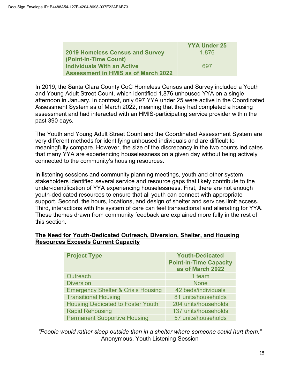|                                                                                 | <b>YYA Under 25</b> |
|---------------------------------------------------------------------------------|---------------------|
| <b>2019 Homeless Census and Survey</b><br>(Point-In-Time Count)                 | 1,876               |
| <b>Individuals With an Active</b><br><b>Assessment in HMIS as of March 2022</b> | 697                 |

In 2019, the Santa Clara County CoC Homeless Census and Survey included a Youth and Young Adult Street Count, which identified 1,876 unhoused YYA on a single afternoon in January. In contrast, only 697 YYA under 25 were active in the Coordinated Assessment System as of March 2022, meaning that they had completed a housing assessment and had interacted with an HMIS-participating service provider within the past 390 days.

The Youth and Young Adult Street Count and the Coordinated Assessment System are very different methods for identifying unhoused individuals and are difficult to meaningfully compare. However, the size of the discrepancy in the two counts indicates that many YYA are experiencing houselessness on a given day without being actively connected to the community's housing resources.

In listening sessions and community planning meetings, youth and other system stakeholders identified several service and resource gaps that likely contribute to the under-identification of YYA experiencing houselessness. First, there are not enough youth-dedicated resources to ensure that all youth can connect with appropriate support. Second, the hours, locations, and design of shelter and services limit access. Third, interactions with the system of care can feel transactional and alienating for YYA. These themes drawn from community feedback are explained more fully in the rest of this section.

#### **The Need for Youth-Dedicated Outreach, Diversion, Shelter, and Housing Resources Exceeds Current Capacity**

| <b>Project Type</b>                           | <b>Youth-Dedicated</b><br><b>Point-in-Time Capacity</b><br>as of March 2022 |
|-----------------------------------------------|-----------------------------------------------------------------------------|
| Outreach                                      | 1 team                                                                      |
| <b>Diversion</b>                              | <b>None</b>                                                                 |
| <b>Emergency Shelter &amp; Crisis Housing</b> | 42 beds/individuals                                                         |
| <b>Transitional Housing</b>                   | 81 units/households                                                         |
| <b>Housing Dedicated to Foster Youth</b>      | 204 units/households                                                        |
| <b>Rapid Rehousing</b>                        | 137 units/households                                                        |
| <b>Permanent Supportive Housing</b>           | 57 units/households                                                         |

*"People would rather sleep outside than in a shelter where someone could hurt them."*  Anonymous, Youth Listening Session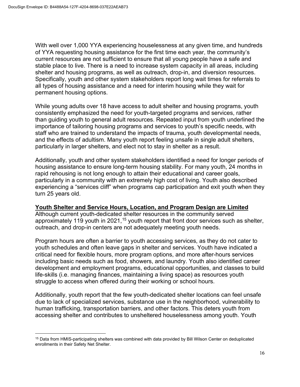With well over 1,000 YYA experiencing houselessness at any given time, and hundreds of YYA requesting housing assistance for the first time each year, the community's current resources are not sufficient to ensure that all young people have a safe and stable place to live. There is a need to increase system capacity in all areas, including shelter and housing programs, as well as outreach, drop-in, and diversion resources. Specifically, youth and other system stakeholders report long wait times for referrals to all types of housing assistance and a need for interim housing while they wait for permanent housing options.

While young adults over 18 have access to adult shelter and housing programs, youth consistently emphasized the need for youth-targeted programs and services, rather than guiding youth to general adult resources. Repeated input from youth underlined the importance of tailoring housing programs and services to youth's specific needs, with staff who are trained to understand the impacts of trauma, youth developmental needs, and the effects of adultism. Many youth report feeling unsafe in single adult shelters, particularly in larger shelters, and elect not to stay in shelter as a result.

Additionally, youth and other system stakeholders identified a need for longer periods of housing assistance to ensure long-term housing stability. For many youth, 24 months in rapid rehousing is not long enough to attain their educational and career goals, particularly in a community with an extremely high cost of living. Youth also described experiencing a "services cliff" when programs cap participation and exit youth when they turn 25 years old.

#### **Youth Shelter and Service Hours, Location, and Program Design are Limited**

Although current youth-dedicated shelter resources in the community served approximately 119 youth in 2021,<sup>[15](#page--1-19)</sup> youth report that front door services such as shelter, outreach, and drop-in centers are not adequately meeting youth needs.

Program hours are often a barrier to youth accessing services, as they do not cater to youth schedules and often leave gaps in shelter and services. Youth have indicated a critical need for flexible hours, more program options, and more after-hours services including basic needs such as food, showers, and laundry. Youth also identified career development and employment programs, educational opportunities, and classes to build life-skills (i.e. managing finances, maintaining a living space) as resources youth struggle to access when offered during their working or school hours.

Additionally, youth report that the few youth-dedicated shelter locations can feel unsafe due to lack of specialized services, substance use in the neighborhood, vulnerability to human trafficking, transportation barriers, and other factors. This deters youth from accessing shelter and contributes to unsheltered houselessness among youth. Youth

<sup>&</sup>lt;sup>15</sup> Data from HMIS-participating shelters was combined with data provided by Bill Wilson Center on deduplicated enrollments in their Safety Net Shelter.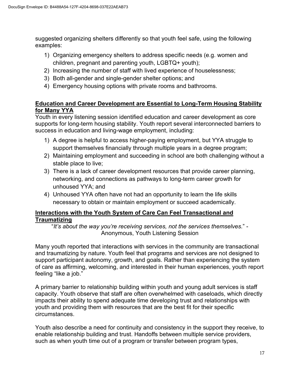suggested organizing shelters differently so that youth feel safe, using the following examples:

- 1) Organizing emergency shelters to address specific needs (e.g. women and children, pregnant and parenting youth, LGBTQ+ youth);
- 2) Increasing the number of staff with lived experience of houselessness;
- 3) Both all-gender and single-gender shelter options; and
- 4) Emergency housing options with private rooms and bathrooms.

## **Education and Career Development are Essential to Long-Term Housing Stability for Many YYA**

Youth in every listening session identified education and career development as core supports for long-term housing stability. Youth report several interconnected barriers to success in education and living-wage employment, including:

- 1) A degree is helpful to access higher-paying employment, but YYA struggle to support themselves financially through multiple years in a degree program;
- 2) Maintaining employment and succeeding in school are both challenging without a stable place to live;
- 3) There is a lack of career development resources that provide career planning, networking, and connections as pathways to long-term career growth for unhoused YYA; and
- 4) Unhoused YYA often have not had an opportunity to learn the life skills necessary to obtain or maintain employment or succeed academically.

## **Interactions with the Youth System of Care Can Feel Transactional and Traumatizing**

"*It's about the way you're receiving services, not the services themselves.*" - Anonymous, Youth Listening Session

Many youth reported that interactions with services in the community are transactional and traumatizing by nature. Youth feel that programs and services are not designed to support participant autonomy, growth, and goals. Rather than experiencing the system of care as affirming, welcoming, and interested in their human experiences, youth report feeling "like a job."

A primary barrier to relationship building within youth and young adult services is staff capacity. Youth observe that staff are often overwhelmed with caseloads, which directly impacts their ability to spend adequate time developing trust and relationships with youth and providing them with resources that are the best fit for their specific circumstances.

Youth also describe a need for continuity and consistency in the support they receive, to enable relationship building and trust. Handoffs between multiple service providers, such as when youth time out of a program or transfer between program types,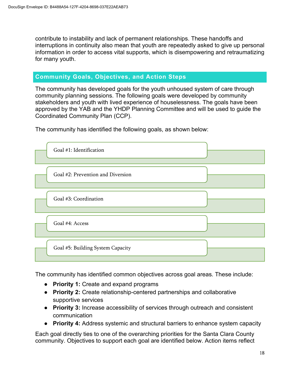contribute to instability and lack of permanent relationships. These handoffs and interruptions in continuity also mean that youth are repeatedly asked to give up personal information in order to access vital supports, which is disempowering and retraumatizing for many youth.

## **Community Goals, Objectives, and Action Steps**

The community has developed goals for the youth unhoused system of care through community planning sessions. The following goals were developed by community stakeholders and youth with lived experience of houselessness. The goals have been approved by the YAB and the YHDP Planning Committee and will be used to guide the Coordinated Community Plan (CCP).

The community has identified the following goals, as shown below:



The community has identified common objectives across goal areas. These include:

- **Priority 1:** Create and expand programs
- **Priority 2:** Create relationship-centered partnerships and collaborative supportive services
- **Priority 3:** Increase accessibility of services through outreach and consistent communication
- **Priority 4:** Address systemic and structural barriers to enhance system capacity

Each goal directly ties to one of the overarching priorities for the Santa Clara County community. Objectives to support each goal are identified below. Action items reflect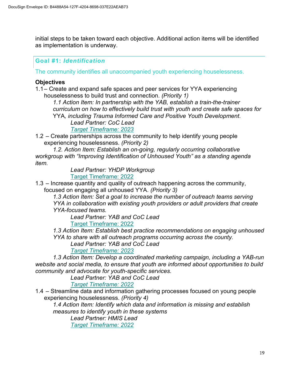initial steps to be taken toward each objective. Additional action items will be identified as implementation is underway.

## **Goal #1:** *Identification*

The community identifies all unaccompanied youth experiencing houselessness.

## **Objectives**

1.1 – Create and expand safe spaces and peer services for YYA experiencing houselessness to build trust and connection. *(Priority 1)*

*1.1 Action Item: In partnership with the YAB, establish a train-the-trainer curriculum on how to effectively build trust with youth and create safe spaces for*  YYA*, including Trauma Informed Care and Positive Youth Development. Lead Partner: CoC Lead*

## *Target Timeframe: 2023*

1.2 – Create partnerships across the community to help identify young people experiencing houselessness. *(Priority 2)*

*1.2. Action Item: Establish an on-going, regularly occurring collaborative workgroup with "Improving Identification of Unhoused Youth" as a standing agenda item.* 

> *Lead Partner: YHDP Workgroup* Target Timeframe: 2022

1.3 – Increase quantity and quality of outreach happening across the community, focused on engaging all unhoused YYA. *(Priority 3)*

*1.3 Action Item: Set a goal to increase the number of outreach teams serving YYA in collaboration with existing youth providers or adult providers that create YYA-focused teams.* 

*Lead Partner: YAB and CoC Lead* Target Timeframe: 2022

*1.3 Action Item: Establish best practice recommendations on engaging unhoused YYA to share with all outreach programs occurring across the county.* 

*Lead Partner: YAB and CoC Lead*

*Target Timeframe: 2023*

*1.3 Action Item: Develop a coordinated marketing campaign, including a YAB-run website and social media, to ensure that youth are informed about opportunities to build community and advocate for youth-specific services.* 

*Lead Partner: YAB and CoC Lead*

*Target Timeframe: 2022*

1.4 – Streamline data and information gathering processes focused on young people experiencing houselessness. *(Priority 4)*

*1.4 Action Item: Identify which data and information is missing and establish measures to identify youth in these systems*

*Lead Partner: HMIS Lead Target Timeframe: 2022*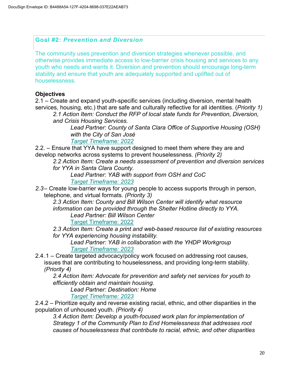## **Goal #2:** *Prevention and Diversion*

The community uses prevention and diversion strategies whenever possible, and otherwise provides immediate access to low-barrier crisis housing and services to any youth who needs and wants it. Diversion and prevention should encourage long-term stability and ensure that youth are adequately supported and uplifted out of houselessness.

## **Objectives**

2.1 – Create and expand youth-specific services (including diversion, mental health services, housing, etc.) that are safe and culturally reflective for all identities. (*Priority 1)*

*2.1 Action Item: Conduct the RFP of local state funds for Prevention, Diversion, and Crisis Housing Services.*

*Lead Partner: County of Santa Clara Office of Supportive Housing (OSH) with the City of San José*

*Target Timeframe: 2022*

2.2. – Ensure that YYA have support designed to meet them where they are and develop networks across systems to prevent houselessness. *(Priority 2)*

*2.2 Action Item: Create a needs assessment of prevention and diversion services for YYA in Santa Clara County.*

*Lead Partner: YAB with support from OSH and CoC Target Timeframe: 2023*

*2.3*– Create low-barrier ways for young people to access supports through in person, telephone, and virtual formats. *(Priority 3)*

*2.3 Action Item: County and Bill Wilson Center will identify what resource information can be provided through the Shelter Hotline directly to YYA. Lead Partner: Bill Wilson Center*

Target Timeframe: 2022

*2.3 Action Item: Create a print and web-based resource list of existing resources for YYA experiencing housing instability.*

*Lead Partner: YAB in collaboration with the YHDP Workgroup Target Timeframe: 2023*

2.4.1 – Create targeted advocacy/policy work focused on addressing root causes, issues that are contributing to houselessness, and providing long-term stability.

*(Priority 4)*

*2.4 Action Item: Advocate for prevention and safety net services for youth to efficiently obtain and maintain housing.* 

*Lead Partner: Destination: Home*

*Target Timeframe: 2023*

2.4.2 – Prioritize equity and reverse existing racial, ethnic, and other disparities in the population of unhoused youth. *(Priority 4)*

*3.4 Action Item: Develop a youth-focused work plan for implementation of Strategy 1 of the Community Plan to End Homelessness that addresses root causes of houselessness that contribute to racial, ethnic, and other disparities*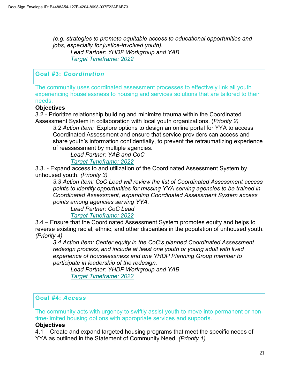*(e.g. strategies to promote equitable access to educational opportunities and jobs, especially for justice-involved youth). Lead Partner: YHDP Workgroup and YAB Target Timeframe: 2022*

## **Goal #3:** *Coordination*

The community uses coordinated assessment processes to effectively link all youth experiencing houselessness to housing and services solutions that are tailored to their needs.

#### **Objectives**

3.2 - Prioritize relationship building and minimize trauma within the Coordinated Assessment System in collaboration with local youth organizations. (*Priority 2)*

*3.2 Action Item:* Explore options to design an online portal for YYA to access Coordinated Assessment and ensure that service providers can access and share youth's information confidentially, to prevent the retraumatizing experience of reassessment by multiple agencies.

 *Lead Partner: YAB and CoC*

 *Target Timeframe: 2022*

3.3. - Expand access to and utilization of the Coordinated Assessment System by unhoused youth. *(Priority 3)*

*3.3 Action Item: CoC Lead will review the list of Coordinated Assessment access points to identify opportunities for missing YYA serving agencies to be trained in Coordinated Assessment, expanding Coordinated Assessment System access points among agencies serving YYA.* 

 *Lead Partner: CoC Lead*

 *Target Timeframe: 2022*

3.4 – Ensure that the Coordinated Assessment System promotes equity and helps to reverse existing racial, ethnic, and other disparities in the population of unhoused youth. *(Priority 4)*

*3.4 Action Item: Center equity in the CoC's planned Coordinated Assessment redesign process, and include at least one youth or young adult with lived experience of houselessness and one YHDP Planning Group member to participate in leadership of the redesign.* 

 *Lead Partner: YHDP Workgroup and YAB Target Timeframe: 2022*

## **Goal #4:** *Access*

The community acts with urgency to swiftly assist youth to move into permanent or nontime-limited housing options with appropriate services and supports.

#### **Objectives**

4.1 – Create and expand targeted housing programs that meet the specific needs of YYA as outlined in the Statement of Community Need. *(Priority 1)*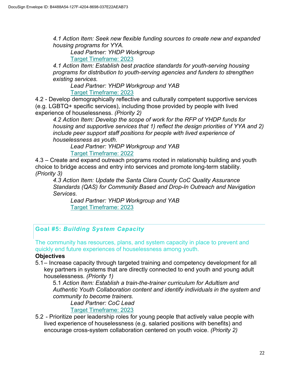*4.1 Action Item: Seek new flexible funding sources to create new and expanded housing programs for YYA.*

*Lead Partner: YHDP Workgroup*

Target Timeframe: 2023

*4.1 Action Item: Establish best practice standards for youth-serving housing programs for distribution to youth-serving agencies and funders to strengthen existing services.* 

 *Lead Partner: YHDP Workgroup and YAB* Target Timeframe: 2023

4.2 - Develop demographically reflective and culturally competent supportive services (e.g. LGBTQ+ specific services), including those provided by people with lived experience of houselessness. *(Priority 2)*

*4.2 Action Item: Develop the scope of work for the RFP of YHDP funds for housing and supportive services that 1) reflect the design priorities of YYA and 2) include peer support staff positions for people with lived experience of houselessness as youth.* 

 *Lead Partner: YHDP Workgroup and YAB* Target Timeframe: 2022

4.3 – Create and expand outreach programs rooted in relationship building and youth choice to bridge access and entry into services and promote long-term stability. *(Priority 3)*

*4.3 Action Item: Update the Santa Clara County CoC Quality Assurance Standards (QAS) for Community Based and Drop-In Outreach and Navigation Services.* 

 *Lead Partner: YHDP Workgroup and YAB* Target Timeframe: 2023

## **Goal #5:** *Building System Capacity*

The community has resources, plans, and system capacity in place to prevent and quickly end future experiences of houselessness among youth.

## **Objectives**

5.1 – Increase capacity through targeted training and competency development for all key partners in systems that are directly connected to end youth and young adult houselessness. *(Priority 1)*

5.1 *Action Item: Establish a train-the-trainer curriculum for Adultism and Authentic Youth Collaboration content and identify individuals in the system and community to become trainers.*

*Lead Partner: CoC Lead* Target Timeframe: 2023

5.2 - Prioritize peer leadership roles for young people that actively value people with lived experience of houselessness (e.g. salaried positions with benefits) and encourage cross-system collaboration centered on youth voice. *(Priority 2)*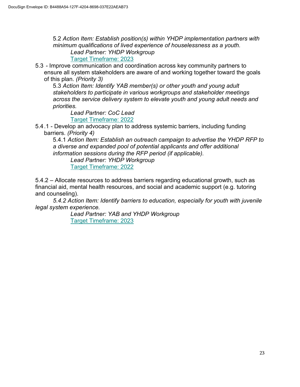5.2 *Action Item: Establish position(s) within YHDP implementation partners with minimum qualifications of lived experience of houselessness as a youth. Lead Partner: YHDP Workgroup* Target Timeframe: 2023

5.3 *-* Improve communication and coordination across key community partners to ensure all system stakeholders are aware of and working together toward the goals of this plan. *(Priority 3)*

5.3 *Action Item: Identify YAB member(s) or other youth and young adult stakeholders to participate in various workgroups and stakeholder meetings across the service delivery system to elevate youth and young adult needs and priorities.*

*Lead Partner: CoC Lead* Target Timeframe: 2022

5.4.1 - Develop an advocacy plan to address systemic barriers, including funding barriers. *(Priority 4)*

5.4.1 *Action Item: Establish an outreach campaign to advertise the YHDP RFP to a diverse and expanded pool of potential applicants and offer additional information sessions during the RFP period (if applicable).* 

*Lead Partner: YHDP Workgroup*  Target Timeframe: 2022

5.4.2 – Allocate resources to address barriers regarding educational growth, such as financial aid, mental health resources, and social and academic support (e.g. tutoring and counseling).

*5.4.2 Action Item: Identify barriers to education, especially for youth with juvenile legal system experience.* 

 *Lead Partner: YAB and YHDP Workgroup* **Target Timeframe: 2023**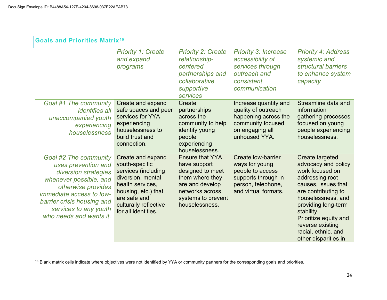| <b>Goals and Priorities Matrix<sup>16</sup></b>                                                                                                                                                                                           |                                                                                                                                                                                            |                                                                                                                                                             |                                                                                                                                      |                                                                                                                                                                                                                                                                                   |
|-------------------------------------------------------------------------------------------------------------------------------------------------------------------------------------------------------------------------------------------|--------------------------------------------------------------------------------------------------------------------------------------------------------------------------------------------|-------------------------------------------------------------------------------------------------------------------------------------------------------------|--------------------------------------------------------------------------------------------------------------------------------------|-----------------------------------------------------------------------------------------------------------------------------------------------------------------------------------------------------------------------------------------------------------------------------------|
|                                                                                                                                                                                                                                           | <b>Priority 1: Create</b><br>and expand<br>programs                                                                                                                                        | <b>Priority 2: Create</b><br>relationship-<br>centered<br>partnerships and<br>collaborative<br>supportive<br>services                                       | <b>Priority 3: Increase</b><br>accessibility of<br>services through<br>outreach and<br>consistent<br>communication                   | <b>Priority 4: Address</b><br>systemic and<br>structural barriers<br>to enhance system<br>capacity                                                                                                                                                                                |
| <b>Goal #1 The community</b><br><i>identifies all</i><br>unaccompanied youth<br>experiencing<br>houselessness                                                                                                                             | Create and expand<br>safe spaces and peer<br>services for YYA<br>experiencing<br>houselessness to<br>build trust and<br>connection.                                                        | Create<br>partnerships<br>across the<br>community to help<br>identify young<br>people<br>experiencing<br>houselessness.                                     | Increase quantity and<br>quality of outreach<br>happening across the<br>community focused<br>on engaging all<br>unhoused YYA.        | Streamline data and<br>information<br>gathering processes<br>focused on young<br>people experiencing<br>houselessness.                                                                                                                                                            |
| <b>Goal #2 The community</b><br>uses prevention and<br>diversion strategies<br>whenever possible, and<br>otherwise provides<br>immediate access to low-<br>barrier crisis housing and<br>services to any youth<br>who needs and wants it. | Create and expand<br>youth-specific<br>services (including<br>diversion, mental<br>health services,<br>housing, etc.) that<br>are safe and<br>culturally reflective<br>for all identities. | <b>Ensure that YYA</b><br>have support<br>designed to meet<br>them where they<br>are and develop<br>networks across<br>systems to prevent<br>houselessness. | <b>Create low-barrier</b><br>ways for young<br>people to access<br>supports through in<br>person, telephone,<br>and virtual formats. | Create targeted<br>advocacy and policy<br>work focused on<br>addressing root<br>causes, issues that<br>are contributing to<br>houselessness, and<br>providing long-term<br>stability.<br>Prioritize equity and<br>reverse existing<br>racial, ethnic, and<br>other disparities in |

<sup>&</sup>lt;sup>16</sup> Blank matrix cells indicate where objectives were not identified by YYA or community partners for the corresponding goals and priorities.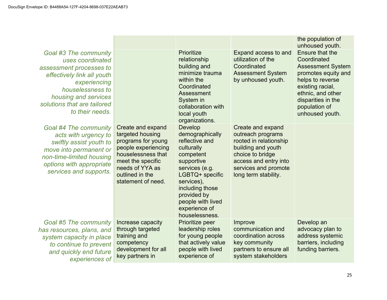|                                                                                                                                                                                           |                                                                                                                                                                                                                                    |                                                                                                                                                                                     | the population of<br>unhoused youth.                                                                                                                                                                            |
|-------------------------------------------------------------------------------------------------------------------------------------------------------------------------------------------|------------------------------------------------------------------------------------------------------------------------------------------------------------------------------------------------------------------------------------|-------------------------------------------------------------------------------------------------------------------------------------------------------------------------------------|-----------------------------------------------------------------------------------------------------------------------------------------------------------------------------------------------------------------|
|                                                                                                                                                                                           | Prioritize<br>relationship<br>building and<br>minimize trauma<br>within the<br>Coordinated<br>Assessment<br>System in<br>collaboration with<br>local youth<br>organizations.                                                       | Expand access to and<br>utilization of the<br>Coordinated<br><b>Assessment System</b><br>by unhoused youth.                                                                         | <b>Ensure that the</b><br>Coordinated<br><b>Assessment System</b><br>promotes equity and<br>helps to reverse<br>existing racial,<br>ethnic, and other<br>disparities in the<br>population of<br>unhoused youth. |
| Create and expand<br>targeted housing<br>programs for young<br>people experiencing<br>houselessness that<br>meet the specific<br>needs of YYA as<br>outlined in the<br>statement of need. | Develop<br>demographically<br>reflective and<br>culturally<br>competent<br>supportive<br>services (e.g.<br>LGBTQ+ specific<br>services),<br>including those<br>provided by<br>people with lived<br>experience of<br>houselessness. | Create and expand<br>outreach programs<br>rooted in relationship<br>building and youth<br>choice to bridge<br>access and entry into<br>services and promote<br>long term stability. |                                                                                                                                                                                                                 |
| Increase capacity<br>through targeted<br>training and<br>competency<br>development for all<br>key partners in                                                                             | Prioritize peer<br>leadership roles<br>for young people<br>that actively value<br>people with lived<br>experience of                                                                                                               | Improve<br>communication and<br>coordination across<br>key community<br>partners to ensure all<br>system stakeholders                                                               | Develop an<br>advocacy plan to<br>address systemic<br>barriers, including<br>funding barriers.                                                                                                                  |
|                                                                                                                                                                                           |                                                                                                                                                                                                                                    |                                                                                                                                                                                     |                                                                                                                                                                                                                 |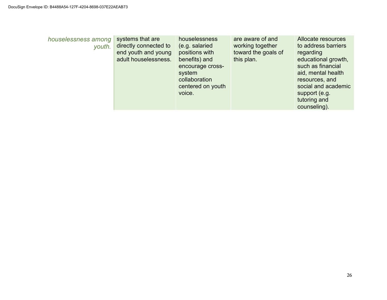| houselessness among<br>youth. | systems that are<br>directly connected to<br>end youth and young<br>adult houselessness. | houselessness<br>(e.g. salaried<br>positions with<br>benefits) and<br>encourage cross-<br>system<br>collaboration<br>centered on youth<br>voice. | are aware of and<br>working together<br>toward the goals of<br>this plan. | Allocate resources<br>to address barriers<br>regarding<br>educational growth,<br>such as financial<br>aid, mental health<br>resources, and<br>social and academic<br>support (e.g.<br>tutoring and<br>counseling). |
|-------------------------------|------------------------------------------------------------------------------------------|--------------------------------------------------------------------------------------------------------------------------------------------------|---------------------------------------------------------------------------|--------------------------------------------------------------------------------------------------------------------------------------------------------------------------------------------------------------------|
|-------------------------------|------------------------------------------------------------------------------------------|--------------------------------------------------------------------------------------------------------------------------------------------------|---------------------------------------------------------------------------|--------------------------------------------------------------------------------------------------------------------------------------------------------------------------------------------------------------------|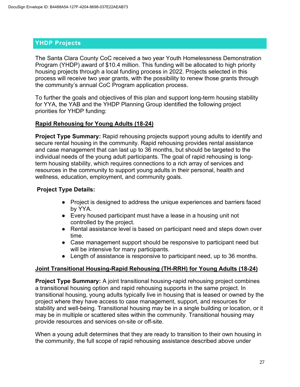## **YHDP Projects**

The Santa Clara County CoC received a two year Youth Homelessness Demonstration Program (YHDP) award of \$10.4 million. This funding will be allocated to high priority housing projects through a local funding process in 2022. Projects selected in this process will receive two year grants, with the possibility to renew those grants through the community's annual CoC Program application process.

To further the goals and objectives of this plan and support long-term housing stability for YYA, the YAB and the YHDP Planning Group identified the following project priorities for YHDP funding:

#### **Rapid Rehousing for Young Adults (18-24)**

**Project Type Summary:** Rapid rehousing projects support young adults to identify and secure rental housing in the community. Rapid rehousing provides rental assistance and case management that can last up to 36 months, but should be targeted to the individual needs of the young adult participants. The goal of rapid rehousing is longterm housing stability, which requires connections to a rich array of services and resources in the community to support young adults in their personal, health and wellness, education, employment, and community goals.

## **Project Type Details:**

- Project is designed to address the unique experiences and barriers faced by YYA.
- Every housed participant must have a lease in a housing unit not controlled by the project.
- Rental assistance level is based on participant need and steps down over time.
- Case management support should be responsive to participant need but will be intensive for many participants.
- Length of assistance is responsive to participant need, up to 36 months.

## **Joint Transitional Housing-Rapid Rehousing (TH-RRH) for Young Adults (18-24)**

**Project Type Summary:** A joint transitional housing-rapid rehousing project combines a transitional housing option and rapid rehousing supports in the same project. In transitional housing, young adults typically live in housing that is leased or owned by the project where they have access to case management, support, and resources for stability and well-being. Transitional housing may be in a single building or location, or it may be in multiple or scattered sites within the community. Transitional housing may provide resources and services on-site or off-site.

When a young adult determines that they are ready to transition to their own housing in the community, the full scope of rapid rehousing assistance described above under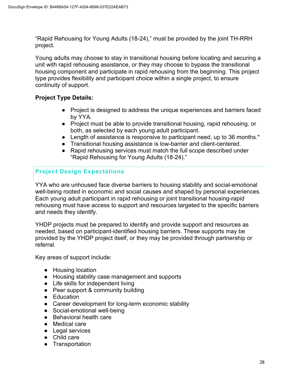"Rapid Rehousing for Young Adults (18-24)," must be provided by the joint TH-RRH project.

Young adults may choose to stay in transitional housing before locating and securing a unit with rapid rehousing assistance, or they may choose to bypass the transitional housing component and participate in rapid rehousing from the beginning. This project type provides flexibility and participant choice within a single project, to ensure continuity of support.

## **Project Type Details:**

- Project is designed to address the unique experiences and barriers faced by YYA.
- Project must be able to provide transitional housing, rapid rehousing, or both, as selected by each young adult participant.
- Length of assistance is responsive to participant need, up to 36 months.<sup>\*</sup>
- Transitional housing assistance is low-barrier and client-centered.
- Rapid rehousing services must match the full scope described under "Rapid Rehousing for Young Adults (18-24)."

## **Project Design Expectations**

YYA who are unhoused face diverse barriers to housing stability and social-emotional well-being rooted in economic and social causes and shaped by personal experiences. Each young adult participant in rapid rehousing or joint transitional housing-rapid rehousing must have access to support and resources targeted to the specific barriers and needs they identify.

YHDP projects must be prepared to identify and provide support and resources as needed, based on participant-identified housing barriers. These supports may be provided by the YHDP project itself, or they may be provided through partnership or referral.

Key areas of support include:

- Housing location
- Housing stability case management and supports
- Life skills for independent living
- Peer support & community building
- Education
- Career development for long-term economic stability
- Social-emotional well-being
- Behavioral health care
- Medical care
- Legal services
- Child care
- Transportation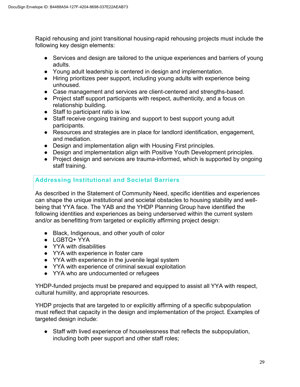Rapid rehousing and joint transitional housing-rapid rehousing projects must include the following key design elements:

- Services and design are tailored to the unique experiences and barriers of young adults.
- Young adult leadership is centered in design and implementation.
- Hiring prioritizes peer support, including young adults with experience being unhoused.
- Case management and services are client-centered and strengths-based.
- Project staff support participants with respect, authenticity, and a focus on relationship building.
- Staff to participant ratio is low.
- Staff receive ongoing training and support to best support young adult participants.
- Resources and strategies are in place for landlord identification, engagement, and mediation.
- Design and implementation align with Housing First principles.
- Design and implementation align with Positive Youth Development principles.
- Project design and services are trauma-informed, which is supported by ongoing staff training.

## **Addressing Institutional and Societal Barriers**

As described in the Statement of Community Need, specific identities and experiences can shape the unique institutional and societal obstacles to housing stability and wellbeing that YYA face. The YAB and the YHDP Planning Group have identified the following identities and experiences as being underserved within the current system and/or as benefitting from targeted or explicitly affirming project design:

- Black, Indigenous, and other youth of color
- LGBTQ+ YYA
- YYA with disabilities
- YYA with experience in foster care
- YYA with experience in the juvenile legal system
- YYA with experience of criminal sexual exploitation
- YYA who are undocumented or refugees

YHDP-funded projects must be prepared and equipped to assist all YYA with respect, cultural humility, and appropriate resources.

YHDP projects that are targeted to or explicitly affirming of a specific subpopulation must reflect that capacity in the design and implementation of the project. Examples of targeted design include:

● Staff with lived experience of houselessness that reflects the subpopulation, including both peer support and other staff roles;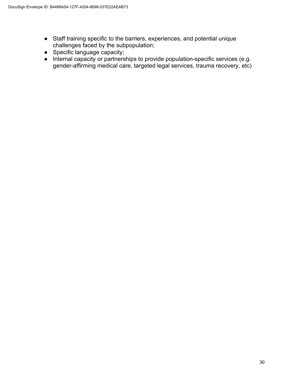- Staff training specific to the barriers, experiences, and potential unique challenges faced by the subpopulation;
- Specific language capacity;
- Internal capacity or partnerships to provide population-specific services (e.g. gender-affirming medical care, targeted legal services, trauma recovery, etc)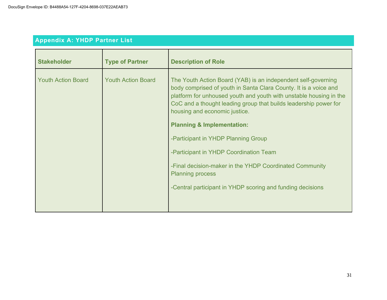| <b>Appendix A: YHDP Partner List</b> |  |  |
|--------------------------------------|--|--|
|                                      |  |  |
|                                      |  |  |

| <b>Stakeholder</b>        | <b>Type of Partner</b>    | <b>Description of Role</b>                                                                                                                                                                                                                                                                                                                                                                                                                                                                                                                                                                 |
|---------------------------|---------------------------|--------------------------------------------------------------------------------------------------------------------------------------------------------------------------------------------------------------------------------------------------------------------------------------------------------------------------------------------------------------------------------------------------------------------------------------------------------------------------------------------------------------------------------------------------------------------------------------------|
| <b>Youth Action Board</b> | <b>Youth Action Board</b> | The Youth Action Board (YAB) is an independent self-governing<br>body comprised of youth in Santa Clara County. It is a voice and<br>platform for unhoused youth and youth with unstable housing in the<br>CoC and a thought leading group that builds leadership power for<br>housing and economic justice.<br><b>Planning &amp; Implementation:</b><br>-Participant in YHDP Planning Group<br>-Participant in YHDP Coordination Team<br>-Final decision-maker in the YHDP Coordinated Community<br><b>Planning process</b><br>-Central participant in YHDP scoring and funding decisions |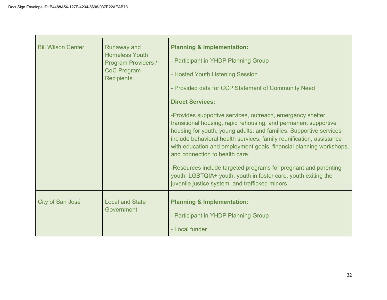**College** 

| <b>Bill Wilson Center</b> | <b>Runaway and</b><br><b>Homeless Youth</b><br><b>Program Providers /</b><br><b>CoC Program</b><br><b>Recipients</b> | <b>Planning &amp; Implementation:</b><br>- Participant in YHDP Planning Group<br>- Hosted Youth Listening Session<br>- Provided data for CCP Statement of Community Need<br><b>Direct Services:</b><br>-Provides supportive services, outreach, emergency shelter,<br>transitional housing, rapid rehousing, and permanent supportive<br>housing for youth, young adults, and families. Supportive services<br>include behavioral health services, family reunification, assistance<br>with education and employment goals, financial planning workshops,<br>and connection to health care.<br>-Resources include targeted programs for pregnant and parenting<br>youth, LGBTQIA+ youth, youth in foster care, youth exiting the<br>juvenile justice system, and trafficked minors. |
|---------------------------|----------------------------------------------------------------------------------------------------------------------|-------------------------------------------------------------------------------------------------------------------------------------------------------------------------------------------------------------------------------------------------------------------------------------------------------------------------------------------------------------------------------------------------------------------------------------------------------------------------------------------------------------------------------------------------------------------------------------------------------------------------------------------------------------------------------------------------------------------------------------------------------------------------------------|
| City of San José          | <b>Local and State</b><br>Government                                                                                 | <b>Planning &amp; Implementation:</b><br>- Participant in YHDP Planning Group<br>- Local funder                                                                                                                                                                                                                                                                                                                                                                                                                                                                                                                                                                                                                                                                                     |

 $\mathbf{r}$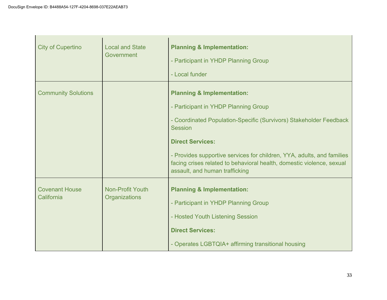| <b>City of Cupertino</b>            | <b>Local and State</b><br>Government     | <b>Planning &amp; Implementation:</b><br>- Participant in YHDP Planning Group<br>- Local funder                                                                                                                                                                                                                                                                                       |
|-------------------------------------|------------------------------------------|---------------------------------------------------------------------------------------------------------------------------------------------------------------------------------------------------------------------------------------------------------------------------------------------------------------------------------------------------------------------------------------|
| <b>Community Solutions</b>          |                                          | <b>Planning &amp; Implementation:</b><br>- Participant in YHDP Planning Group<br>- Coordinated Population-Specific (Survivors) Stakeholder Feedback<br><b>Session</b><br><b>Direct Services:</b><br>- Provides supportive services for children, YYA, adults, and families<br>facing crises related to behavioral health, domestic violence, sexual<br>assault, and human trafficking |
| <b>Covenant House</b><br>California | <b>Non-Profit Youth</b><br>Organizations | <b>Planning &amp; Implementation:</b><br>- Participant in YHDP Planning Group<br>- Hosted Youth Listening Session<br><b>Direct Services:</b><br>- Operates LGBTQIA+ affirming transitional housing                                                                                                                                                                                    |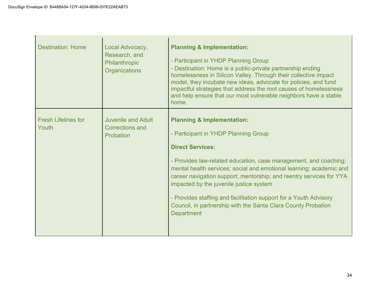| <b>Destination: Home</b>            | Local Advocacy,<br>Research, and<br>Philanthropic<br>Organizations | <b>Planning &amp; Implementation:</b><br>- Participant in YHDP Planning Group<br>- Destination: Home is a public-private partnership ending<br>homelessness in Silicon Valley. Through their collective impact<br>model, they incubate new ideas, advocate for policies, and fund<br>impactful strategies that address the root causes of homelessness<br>and help ensure that our most vulnerable neighbors have a stable<br>home.                                                                                              |
|-------------------------------------|--------------------------------------------------------------------|----------------------------------------------------------------------------------------------------------------------------------------------------------------------------------------------------------------------------------------------------------------------------------------------------------------------------------------------------------------------------------------------------------------------------------------------------------------------------------------------------------------------------------|
| <b>Fresh Lifelines for</b><br>Youth | <b>Juvenile and Adult</b><br><b>Corrections and</b><br>Probation   | <b>Planning &amp; Implementation:</b><br>- Participant in YHDP Planning Group<br><b>Direct Services:</b><br>- Provides law-related education, case management, and coaching;<br>mental health services; social and emotional learning; academic and<br>career navigation support; mentorship; and reentry services for YYA<br>impacted by the juvenile justice system<br>- Provides staffing and facilitation support for a Youth Advisory<br>Council, in partnership with the Santa Clara County Probation<br><b>Department</b> |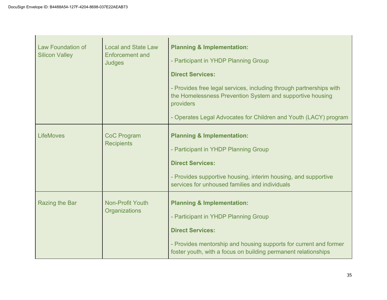| <b>Law Foundation of</b><br><b>Silicon Valley</b> | <b>Local and State Law</b><br><b>Enforcement and</b><br><b>Judges</b> | <b>Planning &amp; Implementation:</b><br>- Participant in YHDP Planning Group<br><b>Direct Services:</b><br>- Provides free legal services, including through partnerships with<br>the Homelessness Prevention System and supportive housing<br>providers<br>- Operates Legal Advocates for Children and Youth (LACY) program |
|---------------------------------------------------|-----------------------------------------------------------------------|-------------------------------------------------------------------------------------------------------------------------------------------------------------------------------------------------------------------------------------------------------------------------------------------------------------------------------|
| <b>LifeMoves</b>                                  | <b>CoC Program</b><br><b>Recipients</b>                               | <b>Planning &amp; Implementation:</b><br>- Participant in YHDP Planning Group<br><b>Direct Services:</b><br>- Provides supportive housing, interim housing, and supportive<br>services for unhoused families and individuals                                                                                                  |
| Razing the Bar                                    | <b>Non-Profit Youth</b><br>Organizations                              | <b>Planning &amp; Implementation:</b><br>- Participant in YHDP Planning Group<br><b>Direct Services:</b><br>- Provides mentorship and housing supports for current and former<br>foster youth, with a focus on building permanent relationships                                                                               |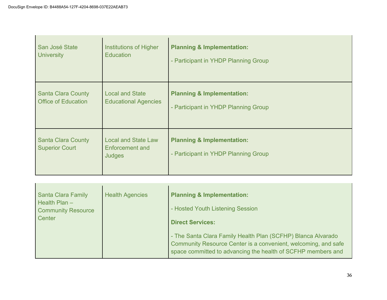| San José State                                     | Institutions of Higher                                  | <b>Planning &amp; Implementation:</b>                                         |
|----------------------------------------------------|---------------------------------------------------------|-------------------------------------------------------------------------------|
| <b>University</b>                                  | <b>Education</b>                                        | - Participant in YHDP Planning Group                                          |
| <b>Santa Clara County</b>                          | <b>Local and State</b>                                  | <b>Planning &amp; Implementation:</b>                                         |
| <b>Office of Education</b>                         | <b>Educational Agencies</b>                             | - Participant in YHDP Planning Group                                          |
| <b>Santa Clara County</b><br><b>Superior Court</b> | <b>Local and State Law</b><br>Enforcement and<br>Judges | <b>Planning &amp; Implementation:</b><br>- Participant in YHDP Planning Group |

| Santa Clara Family<br><b>Health Agencies</b><br>Health $Plan -$<br><b>Community Resource</b><br>Center | <b>Planning &amp; Implementation:</b><br>- Hosted Youth Listening Session<br><b>Direct Services:</b><br>- The Santa Clara Family Health Plan (SCFHP) Blanca Alvarado<br>Community Resource Center is a convenient, welcoming, and safe<br>space committed to advancing the health of SCFHP members and |
|--------------------------------------------------------------------------------------------------------|--------------------------------------------------------------------------------------------------------------------------------------------------------------------------------------------------------------------------------------------------------------------------------------------------------|
|--------------------------------------------------------------------------------------------------------|--------------------------------------------------------------------------------------------------------------------------------------------------------------------------------------------------------------------------------------------------------------------------------------------------------|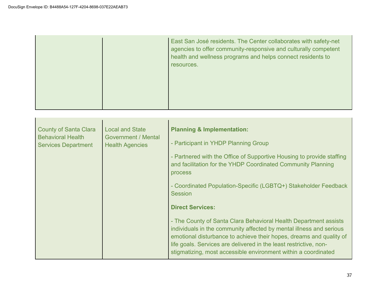|  |  | East San José residents. The Center collaborates with safety-net<br>agencies to offer community-responsive and culturally competent<br>health and wellness programs and helps connect residents to<br>resources. |
|--|--|------------------------------------------------------------------------------------------------------------------------------------------------------------------------------------------------------------------|
|--|--|------------------------------------------------------------------------------------------------------------------------------------------------------------------------------------------------------------------|

| <b>Local and State</b><br><b>County of Santa Clara</b><br><b>Behavioral Health</b><br><b>Government / Mental</b><br><b>Services Department</b><br><b>Health Agencies</b> | <b>Planning &amp; Implementation:</b><br>- Participant in YHDP Planning Group<br>- Partnered with the Office of Supportive Housing to provide staffing<br>and facilitation for the YHDP Coordinated Community Planning<br>process<br>- Coordinated Population-Specific (LGBTQ+) Stakeholder Feedback<br><b>Session</b><br><b>Direct Services:</b><br>- The County of Santa Clara Behavioral Health Department assists<br>individuals in the community affected by mental illness and serious<br>emotional disturbance to achieve their hopes, dreams and quality of<br>life goals. Services are delivered in the least restrictive, non-<br>stigmatizing, most accessible environment within a coordinated |
|--------------------------------------------------------------------------------------------------------------------------------------------------------------------------|------------------------------------------------------------------------------------------------------------------------------------------------------------------------------------------------------------------------------------------------------------------------------------------------------------------------------------------------------------------------------------------------------------------------------------------------------------------------------------------------------------------------------------------------------------------------------------------------------------------------------------------------------------------------------------------------------------|
|--------------------------------------------------------------------------------------------------------------------------------------------------------------------------|------------------------------------------------------------------------------------------------------------------------------------------------------------------------------------------------------------------------------------------------------------------------------------------------------------------------------------------------------------------------------------------------------------------------------------------------------------------------------------------------------------------------------------------------------------------------------------------------------------------------------------------------------------------------------------------------------------|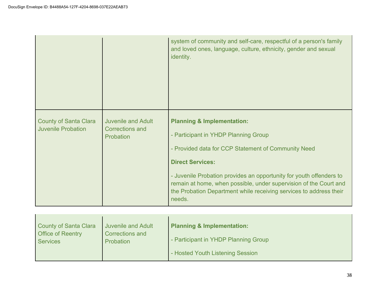|                                                           |                                                                  | system of community and self-care, respectful of a person's family<br>and loved ones, language, culture, ethnicity, gender and sexual<br>identity.                                                                                                                                                                                                                                          |
|-----------------------------------------------------------|------------------------------------------------------------------|---------------------------------------------------------------------------------------------------------------------------------------------------------------------------------------------------------------------------------------------------------------------------------------------------------------------------------------------------------------------------------------------|
| <b>County of Santa Clara</b><br><b>Juvenile Probation</b> | <b>Juvenile and Adult</b><br><b>Corrections and</b><br>Probation | <b>Planning &amp; Implementation:</b><br>- Participant in YHDP Planning Group<br>- Provided data for CCP Statement of Community Need<br><b>Direct Services:</b><br>- Juvenile Probation provides an opportunity for youth offenders to<br>remain at home, when possible, under supervision of the Court and<br>the Probation Department while receiving services to address their<br>needs. |

| County of Santa Clara<br><b>Office of Reentry</b><br><b>Services</b> | <b>Juvenile and Adult</b><br><b>Corrections and</b><br><b>Probation</b> | <b>Planning &amp; Implementation:</b><br>- Participant in YHDP Planning Group |
|----------------------------------------------------------------------|-------------------------------------------------------------------------|-------------------------------------------------------------------------------|
|                                                                      |                                                                         | - Hosted Youth Listening Session                                              |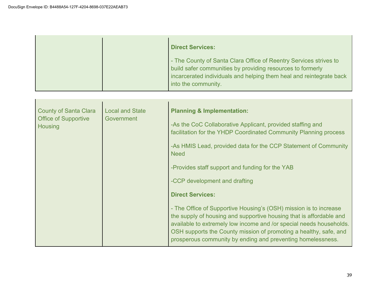|  | <b>Direct Services:</b>                                                                                                                                                                                                       |
|--|-------------------------------------------------------------------------------------------------------------------------------------------------------------------------------------------------------------------------------|
|  | - The County of Santa Clara Office of Reentry Services strives to<br>build safer communities by providing resources to formerly<br>incarcerated individuals and helping them heal and reintegrate back<br>into the community. |

| <b>County of Santa Clara</b><br><b>Office of Supportive</b><br>Housing | <b>Local and State</b><br><b>Government</b> | <b>Planning &amp; Implementation:</b><br>-As the CoC Collaborative Applicant, provided staffing and<br>facilitation for the YHDP Coordinated Community Planning process<br>-As HMIS Lead, provided data for the CCP Statement of Community<br><b>Need</b><br>-Provides staff support and funding for the YAB<br>-CCP development and drafting<br><b>Direct Services:</b> |
|------------------------------------------------------------------------|---------------------------------------------|--------------------------------------------------------------------------------------------------------------------------------------------------------------------------------------------------------------------------------------------------------------------------------------------------------------------------------------------------------------------------|
|                                                                        |                                             | - The Office of Supportive Housing's (OSH) mission is to increase<br>the supply of housing and supportive housing that is affordable and<br>available to extremely low income and /or special needs households.<br>OSH supports the County mission of promoting a healthy, safe, and<br>prosperous community by ending and preventing homelessness.                      |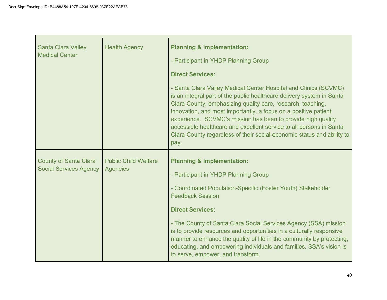| <b>Santa Clara Valley</b><br><b>Medical Center</b>            | <b>Health Agency</b>                           | <b>Planning &amp; Implementation:</b><br>- Participant in YHDP Planning Group<br><b>Direct Services:</b><br>- Santa Clara Valley Medical Center Hospital and Clinics (SCVMC)<br>is an integral part of the public healthcare delivery system in Santa<br>Clara County, emphasizing quality care, research, teaching,<br>innovation, and most importantly, a focus on a positive patient<br>experience. SCVMC's mission has been to provide high quality<br>accessible healthcare and excellent service to all persons in Santa<br>Clara County regardless of their social-economic status and ability to<br>pay. |
|---------------------------------------------------------------|------------------------------------------------|------------------------------------------------------------------------------------------------------------------------------------------------------------------------------------------------------------------------------------------------------------------------------------------------------------------------------------------------------------------------------------------------------------------------------------------------------------------------------------------------------------------------------------------------------------------------------------------------------------------|
| <b>County of Santa Clara</b><br><b>Social Services Agency</b> | <b>Public Child Welfare</b><br><b>Agencies</b> | <b>Planning &amp; Implementation:</b><br>- Participant in YHDP Planning Group<br>- Coordinated Population-Specific (Foster Youth) Stakeholder<br><b>Feedback Session</b><br><b>Direct Services:</b><br>- The County of Santa Clara Social Services Agency (SSA) mission<br>is to provide resources and opportunities in a culturally responsive<br>manner to enhance the quality of life in the community by protecting,<br>educating, and empowering individuals and families. SSA's vision is<br>to serve, empower, and transform.                                                                             |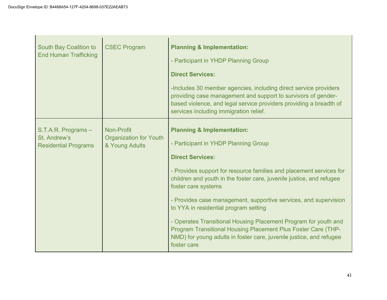| South Bay Coalition to<br><b>End Human Trafficking</b>             | <b>CSEC Program</b>                                           | <b>Planning &amp; Implementation:</b><br>- Participant in YHDP Planning Group<br><b>Direct Services:</b><br>-Includes 30 member agencies, including direct service providers<br>providing case management and support to survivors of gender-<br>based violence, and legal service providers providing a breadth of<br>services including immigration relief.                                                                                                                                                                                                                                                         |
|--------------------------------------------------------------------|---------------------------------------------------------------|-----------------------------------------------------------------------------------------------------------------------------------------------------------------------------------------------------------------------------------------------------------------------------------------------------------------------------------------------------------------------------------------------------------------------------------------------------------------------------------------------------------------------------------------------------------------------------------------------------------------------|
| S.T.A.R. Programs -<br>St. Andrew's<br><b>Residential Programs</b> | Non-Profit<br><b>Organization for Youth</b><br>& Young Adults | <b>Planning &amp; Implementation:</b><br>- Participant in YHDP Planning Group<br><b>Direct Services:</b><br>- Provides support for resource families and placement services for<br>children and youth in the foster care, juvenile justice, and refugee<br>foster care systems<br>- Provides case management, supportive services, and supervision<br>to YYA in residential program setting<br>- Operates Transitional Housing Placement Program for youth and<br>Program Transitional Housing Placement Plus Foster Care (THP-<br>NMD) for young adults in foster care, juvenile justice, and refugee<br>foster care |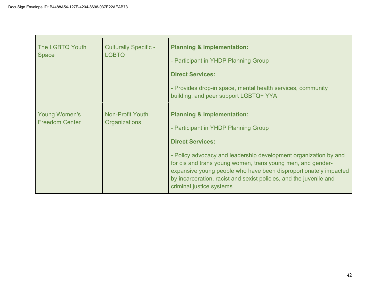| The LGBTQ Youth<br><b>Space</b>               | <b>Culturally Specific -</b><br><b>LGBTQ</b>    | <b>Planning &amp; Implementation:</b><br>- Participant in YHDP Planning Group<br><b>Direct Services:</b><br>- Provides drop-in space, mental health services, community<br>building, and peer support LGBTQ+ YYA                                                                                                                                                                                                  |  |
|-----------------------------------------------|-------------------------------------------------|-------------------------------------------------------------------------------------------------------------------------------------------------------------------------------------------------------------------------------------------------------------------------------------------------------------------------------------------------------------------------------------------------------------------|--|
| <b>Young Women's</b><br><b>Freedom Center</b> | <b>Non-Profit Youth</b><br><b>Organizations</b> | <b>Planning &amp; Implementation:</b><br>- Participant in YHDP Planning Group<br><b>Direct Services:</b><br>- Policy advocacy and leadership development organization by and<br>for cis and trans young women, trans young men, and gender-<br>expansive young people who have been disproportionately impacted<br>by incarceration, racist and sexist policies, and the juvenile and<br>criminal justice systems |  |